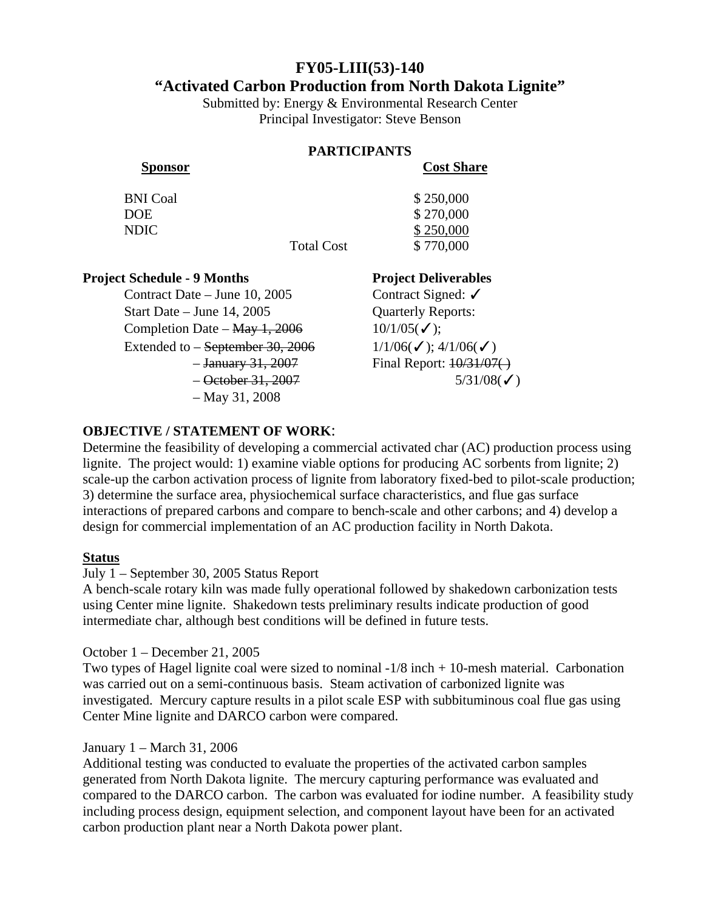# **FY05-LIII(53)-140**

## **"Activated Carbon Production from North Dakota Lignite"**

Submitted by: Energy & Environmental Research Center Principal Investigator: Steve Benson

#### **PARTICIPANTS**

**Sponsor Cost Share**

| <b>BNI</b> Coal | \$250,000 |
|-----------------|-----------|
| <b>DOE</b>      | \$270,000 |
| <b>NDIC</b>     | \$250,000 |

Total Cost \$770,000

## **Project Schedule - 9 Months Project Deliverables**

Contract Date – June 10, 2005 Contract Signed: ✓ Start Date – June 14, 2005 Cuarterly Reports: Completion Date – May 1, 2006  $10/1/05(\checkmark)$ ; Extended to – <del>September 30, 2006</del>  $1/1/06(\checkmark)$ ; 4/1/06( $\checkmark$ ) – May 31, 2008

 $-$  January 31, 2007 Final Report:  $\frac{10}{31/07}$  $-$  October 31, 2007 5/31/08(✓)

## **OBJECTIVE / STATEMENT OF WORK**:

Determine the feasibility of developing a commercial activated char (AC) production process using lignite. The project would: 1) examine viable options for producing AC sorbents from lignite; 2) scale-up the carbon activation process of lignite from laboratory fixed-bed to pilot-scale production; 3) determine the surface area, physiochemical surface characteristics, and flue gas surface interactions of prepared carbons and compare to bench-scale and other carbons; and 4) develop a design for commercial implementation of an AC production facility in North Dakota.

### **Status**

July 1 – September 30, 2005 Status Report

A bench-scale rotary kiln was made fully operational followed by shakedown carbonization tests using Center mine lignite. Shakedown tests preliminary results indicate production of good intermediate char, although best conditions will be defined in future tests.

October 1 – December 21, 2005

Two types of Hagel lignite coal were sized to nominal  $-1/8$  inch  $+10$ -mesh material. Carbonation was carried out on a semi-continuous basis. Steam activation of carbonized lignite was investigated. Mercury capture results in a pilot scale ESP with subbituminous coal flue gas using Center Mine lignite and DARCO carbon were compared.

### January 1 – March 31, 2006

Additional testing was conducted to evaluate the properties of the activated carbon samples generated from North Dakota lignite. The mercury capturing performance was evaluated and compared to the DARCO carbon. The carbon was evaluated for iodine number. A feasibility study including process design, equipment selection, and component layout have been for an activated carbon production plant near a North Dakota power plant.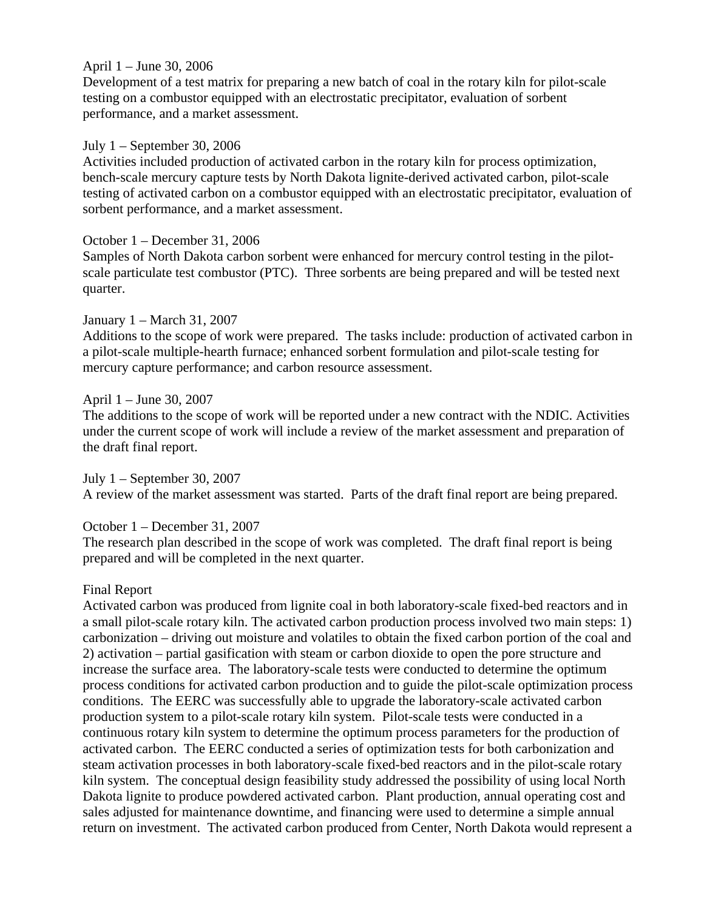### April 1 – June 30, 2006

Development of a test matrix for preparing a new batch of coal in the rotary kiln for pilot-scale testing on a combustor equipped with an electrostatic precipitator, evaluation of sorbent performance, and a market assessment.

### July 1 – September 30, 2006

Activities included production of activated carbon in the rotary kiln for process optimization, bench-scale mercury capture tests by North Dakota lignite-derived activated carbon, pilot-scale testing of activated carbon on a combustor equipped with an electrostatic precipitator, evaluation of sorbent performance, and a market assessment.

## October 1 – December 31, 2006

Samples of North Dakota carbon sorbent were enhanced for mercury control testing in the pilotscale particulate test combustor (PTC). Three sorbents are being prepared and will be tested next quarter.

### January 1 – March 31, 2007

Additions to the scope of work were prepared. The tasks include: production of activated carbon in a pilot-scale multiple-hearth furnace; enhanced sorbent formulation and pilot-scale testing for mercury capture performance; and carbon resource assessment.

### April 1 – June 30, 2007

The additions to the scope of work will be reported under a new contract with the NDIC. Activities under the current scope of work will include a review of the market assessment and preparation of the draft final report.

July 1 – September 30, 2007 A review of the market assessment was started. Parts of the draft final report are being prepared.

October 1 – December 31, 2007

The research plan described in the scope of work was completed. The draft final report is being prepared and will be completed in the next quarter.

### Final Report

Activated carbon was produced from lignite coal in both laboratory-scale fixed-bed reactors and in a small pilot-scale rotary kiln. The activated carbon production process involved two main steps: 1) carbonization – driving out moisture and volatiles to obtain the fixed carbon portion of the coal and 2) activation – partial gasification with steam or carbon dioxide to open the pore structure and increase the surface area. The laboratory-scale tests were conducted to determine the optimum process conditions for activated carbon production and to guide the pilot-scale optimization process conditions. The EERC was successfully able to upgrade the laboratory-scale activated carbon production system to a pilot-scale rotary kiln system. Pilot-scale tests were conducted in a continuous rotary kiln system to determine the optimum process parameters for the production of activated carbon. The EERC conducted a series of optimization tests for both carbonization and steam activation processes in both laboratory-scale fixed-bed reactors and in the pilot-scale rotary kiln system. The conceptual design feasibility study addressed the possibility of using local North Dakota lignite to produce powdered activated carbon. Plant production, annual operating cost and sales adjusted for maintenance downtime, and financing were used to determine a simple annual return on investment. The activated carbon produced from Center, North Dakota would represent a